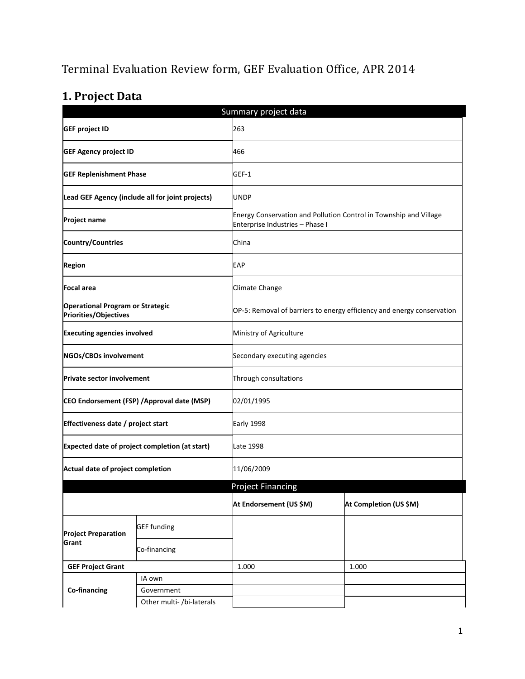# Terminal Evaluation Review form, GEF Evaluation Office, APR 2014

# **1. Project Data**

| Summary project data                                             |                                                  |                                 |                                                                        |  |
|------------------------------------------------------------------|--------------------------------------------------|---------------------------------|------------------------------------------------------------------------|--|
| <b>GEF project ID</b>                                            |                                                  | 263                             |                                                                        |  |
| <b>GEF Agency project ID</b>                                     |                                                  | 466                             |                                                                        |  |
| <b>GEF Replenishment Phase</b>                                   |                                                  | GEF-1                           |                                                                        |  |
|                                                                  | Lead GEF Agency (include all for joint projects) | <b>UNDP</b>                     |                                                                        |  |
| <b>Project name</b>                                              |                                                  | Enterprise Industries - Phase I | Energy Conservation and Pollution Control in Township and Village      |  |
| <b>Country/Countries</b>                                         |                                                  | China                           |                                                                        |  |
| <b>Region</b>                                                    |                                                  | EAP                             |                                                                        |  |
| <b>Focal area</b>                                                |                                                  | Climate Change                  |                                                                        |  |
| <b>Operational Program or Strategic</b><br>Priorities/Objectives |                                                  |                                 | OP-5: Removal of barriers to energy efficiency and energy conservation |  |
| <b>Executing agencies involved</b>                               |                                                  | Ministry of Agriculture         |                                                                        |  |
| NGOs/CBOs involvement                                            |                                                  | Secondary executing agencies    |                                                                        |  |
| <b>Private sector involvement</b>                                |                                                  | Through consultations           |                                                                        |  |
| CEO Endorsement (FSP) / Approval date (MSP)                      |                                                  | 02/01/1995                      |                                                                        |  |
| Effectiveness date / project start                               |                                                  | Early 1998                      |                                                                        |  |
|                                                                  | Expected date of project completion (at start)   | Late 1998                       |                                                                        |  |
| Actual date of project completion                                |                                                  | 11/06/2009                      |                                                                        |  |
|                                                                  |                                                  | <b>Project Financing</b>        |                                                                        |  |
|                                                                  |                                                  | At Endorsement (US \$M)         | At Completion (US \$M)                                                 |  |
| <b>Project Preparation</b>                                       | <b>GEF funding</b>                               |                                 |                                                                        |  |
| Grant                                                            | Co-financing                                     |                                 |                                                                        |  |
| <b>GEF Project Grant</b>                                         |                                                  | 1.000                           | 1.000                                                                  |  |
|                                                                  | IA own                                           |                                 |                                                                        |  |
| Co-financing                                                     | Government                                       |                                 |                                                                        |  |
|                                                                  | Other multi-/bi-laterals                         |                                 |                                                                        |  |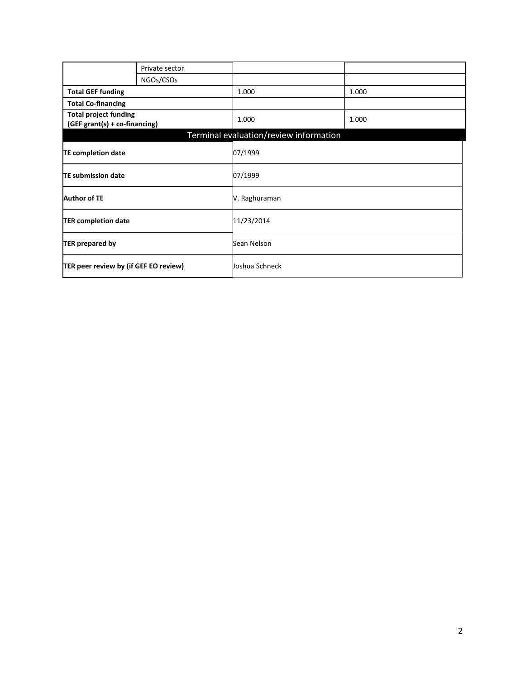|                                                               | Private sector |                                        |       |
|---------------------------------------------------------------|----------------|----------------------------------------|-------|
|                                                               | NGOs/CSOs      |                                        |       |
| <b>Total GEF funding</b>                                      |                | 1.000                                  | 1.000 |
| <b>Total Co-financing</b>                                     |                |                                        |       |
| <b>Total project funding</b><br>(GEF grant(s) + co-financing) |                | 1.000                                  | 1.000 |
|                                                               |                | Terminal evaluation/review information |       |
| <b>TE completion date</b>                                     |                | 07/1999                                |       |
| TE submission date                                            |                | 07/1999                                |       |
| <b>Author of TE</b>                                           |                | V. Raghuraman                          |       |
| <b>TER completion date</b>                                    |                | 11/23/2014                             |       |
| <b>TER prepared by</b>                                        |                | Sean Nelson                            |       |
| TER peer review by (if GEF EO review)                         |                | Joshua Schneck                         |       |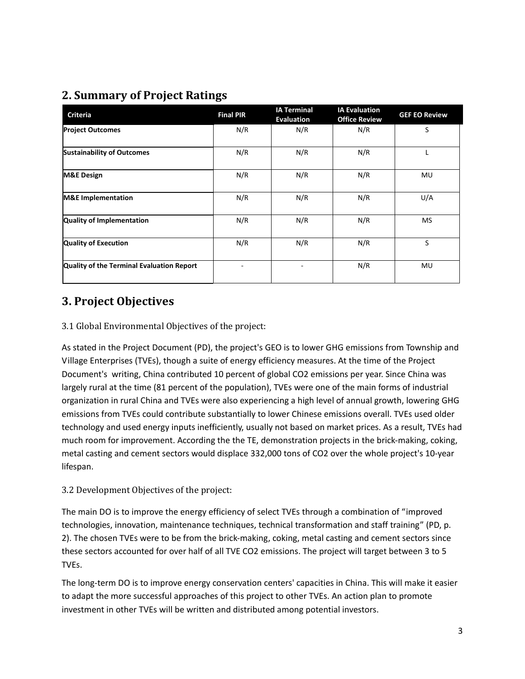## **2. Summary of Project Ratings**

| <b>Criteria</b>                           | <b>Final PIR</b> | <b>IA Terminal</b><br><b>Evaluation</b> | <b>IA Evaluation</b><br><b>Office Review</b> | <b>GEF EO Review</b> |
|-------------------------------------------|------------------|-----------------------------------------|----------------------------------------------|----------------------|
| <b>Project Outcomes</b>                   | N/R              | N/R                                     | N/R                                          | S                    |
| <b>Sustainability of Outcomes</b>         | N/R              | N/R                                     | N/R                                          | L                    |
| <b>M&amp;E Design</b>                     | N/R              | N/R                                     | N/R                                          | MU                   |
| <b>M&amp;E</b> Implementation             | N/R              | N/R                                     | N/R                                          | U/A                  |
| Quality of Implementation                 | N/R              | N/R                                     | N/R                                          | MS                   |
| <b>Quality of Execution</b>               | N/R              | N/R                                     | N/R                                          | S                    |
| Quality of the Terminal Evaluation Report |                  |                                         | N/R                                          | MU                   |

## **3. Project Objectives**

#### 3.1 Global Environmental Objectives of the project:

As stated in the Project Document (PD), the project's GEO is to lower GHG emissions from Township and Village Enterprises (TVEs), though a suite of energy efficiency measures. At the time of the Project Document's writing, China contributed 10 percent of global CO2 emissions per year. Since China was largely rural at the time (81 percent of the population), TVEs were one of the main forms of industrial organization in rural China and TVEs were also experiencing a high level of annual growth, lowering GHG emissions from TVEs could contribute substantially to lower Chinese emissions overall. TVEs used older technology and used energy inputs inefficiently, usually not based on market prices. As a result, TVEs had much room for improvement. According the the TE, demonstration projects in the brick-making, coking, metal casting and cement sectors would displace 332,000 tons of CO2 over the whole project's 10-year lifespan.

#### 3.2 Development Objectives of the project:

The main DO is to improve the energy efficiency of select TVEs through a combination of "improved technologies, innovation, maintenance techniques, technical transformation and staff training" (PD, p. 2). The chosen TVEs were to be from the brick-making, coking, metal casting and cement sectors since these sectors accounted for over half of all TVE CO2 emissions. The project will target between 3 to 5 TVEs.

The long-term DO is to improve energy conservation centers' capacities in China. This will make it easier to adapt the more successful approaches of this project to other TVEs. An action plan to promote investment in other TVEs will be written and distributed among potential investors.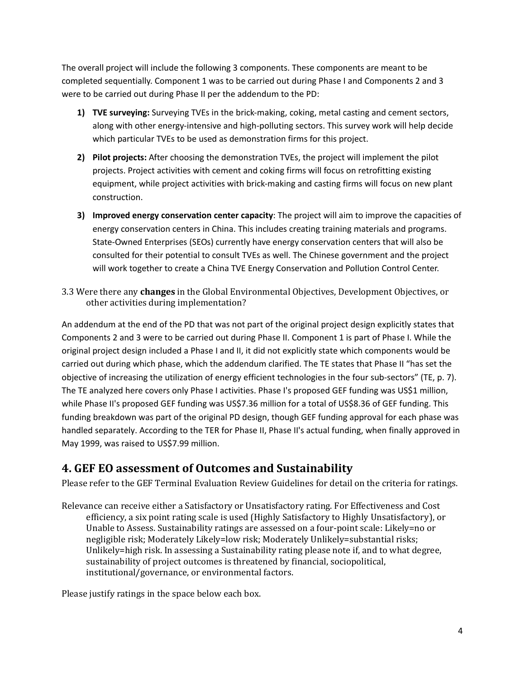The overall project will include the following 3 components. These components are meant to be completed sequentially. Component 1 was to be carried out during Phase I and Components 2 and 3 were to be carried out during Phase II per the addendum to the PD:

- **1) TVE surveying:** Surveying TVEs in the brick-making, coking, metal casting and cement sectors, along with other energy-intensive and high-polluting sectors. This survey work will help decide which particular TVEs to be used as demonstration firms for this project.
- **2) Pilot projects:** After choosing the demonstration TVEs, the project will implement the pilot projects. Project activities with cement and coking firms will focus on retrofitting existing equipment, while project activities with brick-making and casting firms will focus on new plant construction.
- **3) Improved energy conservation center capacity**: The project will aim to improve the capacities of energy conservation centers in China. This includes creating training materials and programs. State-Owned Enterprises (SEOs) currently have energy conservation centers that will also be consulted for their potential to consult TVEs as well. The Chinese government and the project will work together to create a China TVE Energy Conservation and Pollution Control Center.
- 3.3 Were there any **changes** in the Global Environmental Objectives, Development Objectives, or other activities during implementation?

An addendum at the end of the PD that was not part of the original project design explicitly states that Components 2 and 3 were to be carried out during Phase II. Component 1 is part of Phase I. While the original project design included a Phase I and II, it did not explicitly state which components would be carried out during which phase, which the addendum clarified. The TE states that Phase II "has set the objective of increasing the utilization of energy efficient technologies in the four sub-sectors" (TE, p. 7). The TE analyzed here covers only Phase I activities. Phase I's proposed GEF funding was US\$1 million, while Phase II's proposed GEF funding was US\$7.36 million for a total of US\$8.36 of GEF funding. This funding breakdown was part of the original PD design, though GEF funding approval for each phase was handled separately. According to the TER for Phase II, Phase II's actual funding, when finally approved in May 1999, was raised to US\$7.99 million.

### **4. GEF EO assessment of Outcomes and Sustainability**

Please refer to the GEF Terminal Evaluation Review Guidelines for detail on the criteria for ratings.

Relevance can receive either a Satisfactory or Unsatisfactory rating. For Effectiveness and Cost efficiency, a six point rating scale is used (Highly Satisfactory to Highly Unsatisfactory), or Unable to Assess. Sustainability ratings are assessed on a four-point scale: Likely=no or negligible risk; Moderately Likely=low risk; Moderately Unlikely=substantial risks; Unlikely=high risk. In assessing a Sustainability rating please note if, and to what degree, sustainability of project outcomes is threatened by financial, sociopolitical, institutional/governance, or environmental factors.

Please justify ratings in the space below each box.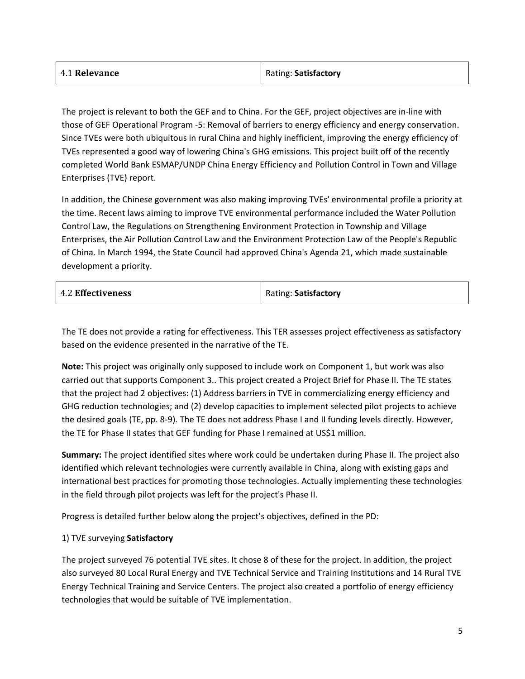| 4.1 Relevance | Rating: Satisfactory |
|---------------|----------------------|
|               |                      |

The project is relevant to both the GEF and to China. For the GEF, project objectives are in-line with those of GEF Operational Program -5: Removal of barriers to energy efficiency and energy conservation. Since TVEs were both ubiquitous in rural China and highly inefficient, improving the energy efficiency of TVEs represented a good way of lowering China's GHG emissions. This project built off of the recently completed World Bank ESMAP/UNDP China Energy Efficiency and Pollution Control in Town and Village Enterprises (TVE) report.

In addition, the Chinese government was also making improving TVEs' environmental profile a priority at the time. Recent laws aiming to improve TVE environmental performance included the Water Pollution Control Law, the Regulations on Strengthening Environment Protection in Township and Village Enterprises, the Air Pollution Control Law and the Environment Protection Law of the People's Republic of China. In March 1994, the State Council had approved China's Agenda 21, which made sustainable development a priority.

|  | <b>4.2 Effectiveness</b> | Rating: Satisfactory |
|--|--------------------------|----------------------|
|--|--------------------------|----------------------|

The TE does not provide a rating for effectiveness. This TER assesses project effectiveness as satisfactory based on the evidence presented in the narrative of the TE.

**Note:** This project was originally only supposed to include work on Component 1, but work was also carried out that supports Component 3.. This project created a Project Brief for Phase II. The TE states that the project had 2 objectives: (1) Address barriers in TVE in commercializing energy efficiency and GHG reduction technologies; and (2) develop capacities to implement selected pilot projects to achieve the desired goals (TE, pp. 8-9). The TE does not address Phase I and II funding levels directly. However, the TE for Phase II states that GEF funding for Phase I remained at US\$1 million.

**Summary:** The project identified sites where work could be undertaken during Phase II. The project also identified which relevant technologies were currently available in China, along with existing gaps and international best practices for promoting those technologies. Actually implementing these technologies in the field through pilot projects was left for the project's Phase II.

Progress is detailed further below along the project's objectives, defined in the PD:

#### 1) TVE surveying **Satisfactory**

The project surveyed 76 potential TVE sites. It chose 8 of these for the project. In addition, the project also surveyed 80 Local Rural Energy and TVE Technical Service and Training Institutions and 14 Rural TVE Energy Technical Training and Service Centers. The project also created a portfolio of energy efficiency technologies that would be suitable of TVE implementation.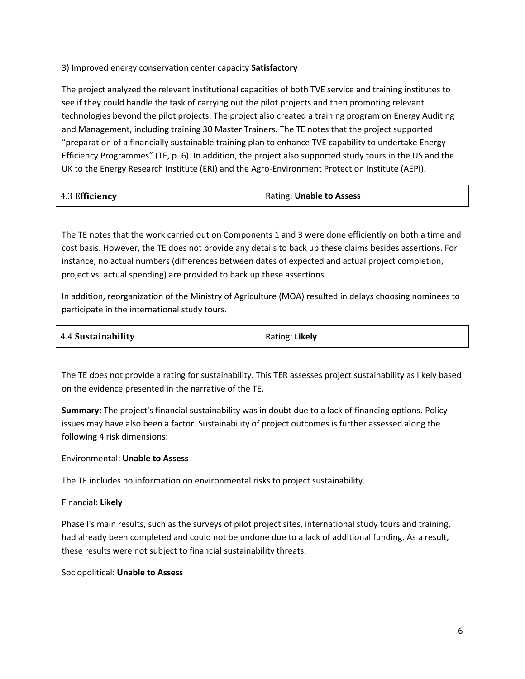3) Improved energy conservation center capacity **Satisfactory**

The project analyzed the relevant institutional capacities of both TVE service and training institutes to see if they could handle the task of carrying out the pilot projects and then promoting relevant technologies beyond the pilot projects. The project also created a training program on Energy Auditing and Management, including training 30 Master Trainers. The TE notes that the project supported "preparation of a financially sustainable training plan to enhance TVE capability to undertake Energy Efficiency Programmes" (TE, p. 6). In addition, the project also supported study tours in the US and the UK to the Energy Research Institute (ERI) and the Agro-Environment Protection Institute (AEPI).

| 4.3 Efficiency | Rating: Unable to Assess |
|----------------|--------------------------|
|----------------|--------------------------|

The TE notes that the work carried out on Components 1 and 3 were done efficiently on both a time and cost basis. However, the TE does not provide any details to back up these claims besides assertions. For instance, no actual numbers (differences between dates of expected and actual project completion, project vs. actual spending) are provided to back up these assertions.

In addition, reorganization of the Ministry of Agriculture (MOA) resulted in delays choosing nominees to participate in the international study tours.

| 4.4 Sustainability | Rating: Likely |
|--------------------|----------------|
|                    |                |

The TE does not provide a rating for sustainability. This TER assesses project sustainability as likely based on the evidence presented in the narrative of the TE.

**Summary:** The project's financial sustainability was in doubt due to a lack of financing options. Policy issues may have also been a factor. Sustainability of project outcomes is further assessed along the following 4 risk dimensions:

#### Environmental: **Unable to Assess**

The TE includes no information on environmental risks to project sustainability.

Financial: **Likely**

Phase I's main results, such as the surveys of pilot project sites, international study tours and training, had already been completed and could not be undone due to a lack of additional funding. As a result, these results were not subject to financial sustainability threats.

Sociopolitical: **Unable to Assess**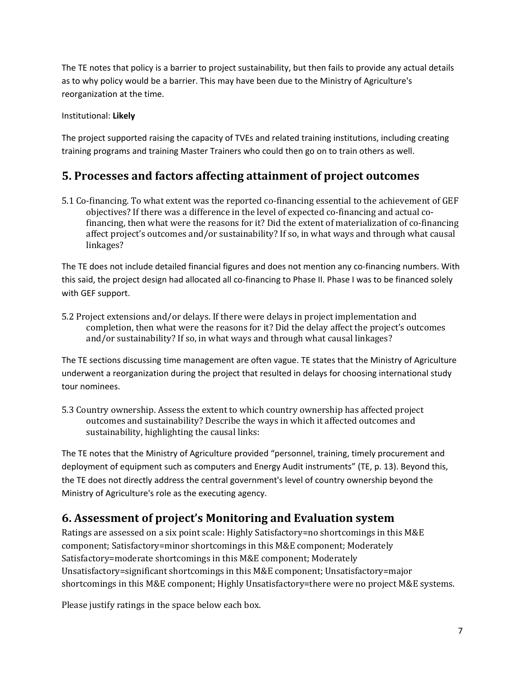The TE notes that policy is a barrier to project sustainability, but then fails to provide any actual details as to why policy would be a barrier. This may have been due to the Ministry of Agriculture's reorganization at the time.

Institutional: **Likely**

The project supported raising the capacity of TVEs and related training institutions, including creating training programs and training Master Trainers who could then go on to train others as well.

## **5. Processes and factors affecting attainment of project outcomes**

5.1 Co-financing. To what extent was the reported co-financing essential to the achievement of GEF objectives? If there was a difference in the level of expected co-financing and actual cofinancing, then what were the reasons for it? Did the extent of materialization of co-financing affect project's outcomes and/or sustainability? If so, in what ways and through what causal linkages?

The TE does not include detailed financial figures and does not mention any co-financing numbers. With this said, the project design had allocated all co-financing to Phase II. Phase I was to be financed solely with GEF support.

5.2 Project extensions and/or delays. If there were delays in project implementation and completion, then what were the reasons for it? Did the delay affect the project's outcomes and/or sustainability? If so, in what ways and through what causal linkages?

The TE sections discussing time management are often vague. TE states that the Ministry of Agriculture underwent a reorganization during the project that resulted in delays for choosing international study tour nominees.

5.3 Country ownership. Assess the extent to which country ownership has affected project outcomes and sustainability? Describe the ways in which it affected outcomes and sustainability, highlighting the causal links:

The TE notes that the Ministry of Agriculture provided "personnel, training, timely procurement and deployment of equipment such as computers and Energy Audit instruments" (TE, p. 13). Beyond this, the TE does not directly address the central government's level of country ownership beyond the Ministry of Agriculture's role as the executing agency.

## **6. Assessment of project's Monitoring and Evaluation system**

Ratings are assessed on a six point scale: Highly Satisfactory=no shortcomings in this M&E component; Satisfactory=minor shortcomings in this M&E component; Moderately Satisfactory=moderate shortcomings in this M&E component; Moderately Unsatisfactory=significant shortcomings in this M&E component; Unsatisfactory=major shortcomings in this M&E component; Highly Unsatisfactory=there were no project M&E systems.

Please justify ratings in the space below each box.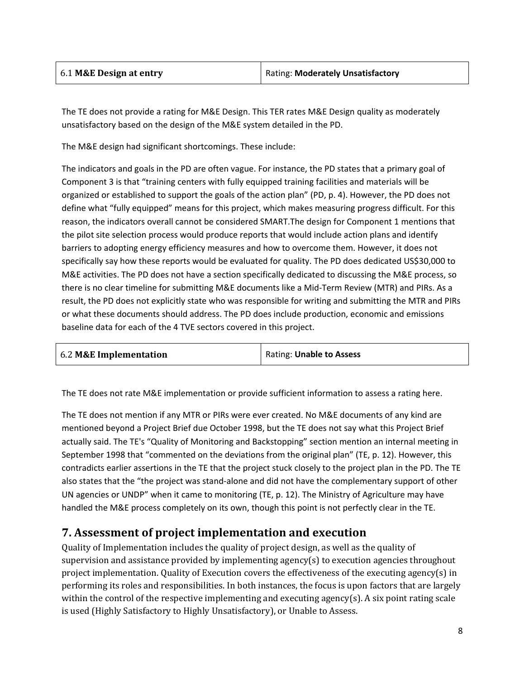| 6.1 M&E Design at entry | Rating: Moderately Unsatisfactory |
|-------------------------|-----------------------------------|
|-------------------------|-----------------------------------|

The TE does not provide a rating for M&E Design. This TER rates M&E Design quality as moderately unsatisfactory based on the design of the M&E system detailed in the PD.

The M&E design had significant shortcomings. These include:

The indicators and goals in the PD are often vague. For instance, the PD states that a primary goal of Component 3 is that "training centers with fully equipped training facilities and materials will be organized or established to support the goals of the action plan" (PD, p. 4). However, the PD does not define what "fully equipped" means for this project, which makes measuring progress difficult. For this reason, the indicators overall cannot be considered SMART.The design for Component 1 mentions that the pilot site selection process would produce reports that would include action plans and identify barriers to adopting energy efficiency measures and how to overcome them. However, it does not specifically say how these reports would be evaluated for quality. The PD does dedicated US\$30,000 to M&E activities. The PD does not have a section specifically dedicated to discussing the M&E process, so there is no clear timeline for submitting M&E documents like a Mid-Term Review (MTR) and PIRs. As a result, the PD does not explicitly state who was responsible for writing and submitting the MTR and PIRs or what these documents should address. The PD does include production, economic and emissions baseline data for each of the 4 TVE sectors covered in this project.

| 6.2 M&E Implementation | Rating: Unable to Assess |
|------------------------|--------------------------|
|                        |                          |

The TE does not rate M&E implementation or provide sufficient information to assess a rating here.

The TE does not mention if any MTR or PIRs were ever created. No M&E documents of any kind are mentioned beyond a Project Brief due October 1998, but the TE does not say what this Project Brief actually said. The TE's "Quality of Monitoring and Backstopping" section mention an internal meeting in September 1998 that "commented on the deviations from the original plan" (TE, p. 12). However, this contradicts earlier assertions in the TE that the project stuck closely to the project plan in the PD. The TE also states that the "the project was stand-alone and did not have the complementary support of other UN agencies or UNDP" when it came to monitoring (TE, p. 12). The Ministry of Agriculture may have handled the M&E process completely on its own, though this point is not perfectly clear in the TE.

#### **7. Assessment of project implementation and execution**

Quality of Implementation includes the quality of project design, as well as the quality of supervision and assistance provided by implementing agency(s) to execution agencies throughout project implementation. Quality of Execution covers the effectiveness of the executing agency(s) in performing its roles and responsibilities. In both instances, the focus is upon factors that are largely within the control of the respective implementing and executing agency(s). A six point rating scale is used (Highly Satisfactory to Highly Unsatisfactory), or Unable to Assess.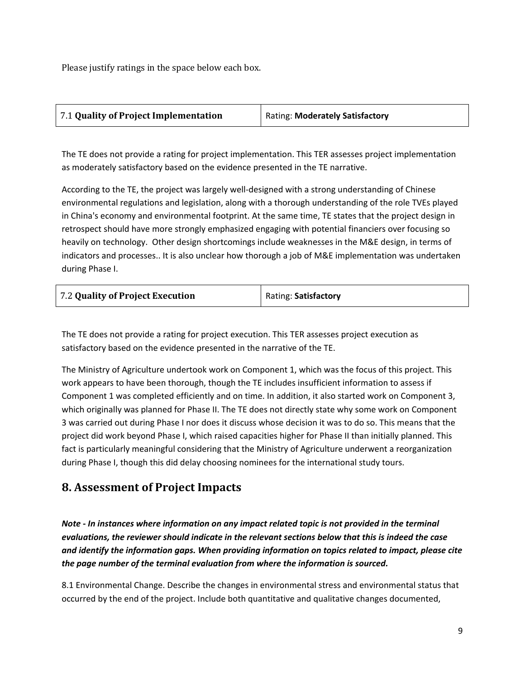Please justify ratings in the space below each box.

| 7.1 Quality of Project Implementation | Rating: Moderately Satisfactory |
|---------------------------------------|---------------------------------|
|                                       |                                 |

The TE does not provide a rating for project implementation. This TER assesses project implementation as moderately satisfactory based on the evidence presented in the TE narrative.

According to the TE, the project was largely well-designed with a strong understanding of Chinese environmental regulations and legislation, along with a thorough understanding of the role TVEs played in China's economy and environmental footprint. At the same time, TE states that the project design in retrospect should have more strongly emphasized engaging with potential financiers over focusing so heavily on technology. Other design shortcomings include weaknesses in the M&E design, in terms of indicators and processes.. It is also unclear how thorough a job of M&E implementation was undertaken during Phase I.

| 7.2 Quality of Project Execution | Rating: Satisfactory |
|----------------------------------|----------------------|
|                                  |                      |

The TE does not provide a rating for project execution. This TER assesses project execution as satisfactory based on the evidence presented in the narrative of the TE.

The Ministry of Agriculture undertook work on Component 1, which was the focus of this project. This work appears to have been thorough, though the TE includes insufficient information to assess if Component 1 was completed efficiently and on time. In addition, it also started work on Component 3, which originally was planned for Phase II. The TE does not directly state why some work on Component 3 was carried out during Phase I nor does it discuss whose decision it was to do so. This means that the project did work beyond Phase I, which raised capacities higher for Phase II than initially planned. This fact is particularly meaningful considering that the Ministry of Agriculture underwent a reorganization during Phase I, though this did delay choosing nominees for the international study tours.

### **8. Assessment of Project Impacts**

*Note - In instances where information on any impact related topic is not provided in the terminal evaluations, the reviewer should indicate in the relevant sections below that this is indeed the case and identify the information gaps. When providing information on topics related to impact, please cite the page number of the terminal evaluation from where the information is sourced.*

8.1 Environmental Change. Describe the changes in environmental stress and environmental status that occurred by the end of the project. Include both quantitative and qualitative changes documented,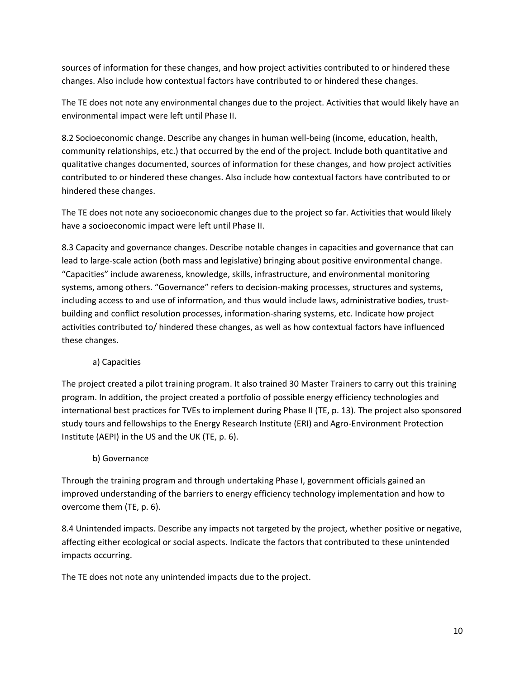sources of information for these changes, and how project activities contributed to or hindered these changes. Also include how contextual factors have contributed to or hindered these changes.

The TE does not note any environmental changes due to the project. Activities that would likely have an environmental impact were left until Phase II.

8.2 Socioeconomic change. Describe any changes in human well-being (income, education, health, community relationships, etc.) that occurred by the end of the project. Include both quantitative and qualitative changes documented, sources of information for these changes, and how project activities contributed to or hindered these changes. Also include how contextual factors have contributed to or hindered these changes.

The TE does not note any socioeconomic changes due to the project so far. Activities that would likely have a socioeconomic impact were left until Phase II.

8.3 Capacity and governance changes. Describe notable changes in capacities and governance that can lead to large-scale action (both mass and legislative) bringing about positive environmental change. "Capacities" include awareness, knowledge, skills, infrastructure, and environmental monitoring systems, among others. "Governance" refers to decision-making processes, structures and systems, including access to and use of information, and thus would include laws, administrative bodies, trustbuilding and conflict resolution processes, information-sharing systems, etc. Indicate how project activities contributed to/ hindered these changes, as well as how contextual factors have influenced these changes.

#### a) Capacities

The project created a pilot training program. It also trained 30 Master Trainers to carry out this training program. In addition, the project created a portfolio of possible energy efficiency technologies and international best practices for TVEs to implement during Phase II (TE, p. 13). The project also sponsored study tours and fellowships to the Energy Research Institute (ERI) and Agro-Environment Protection Institute (AEPI) in the US and the UK (TE, p. 6).

#### b) Governance

Through the training program and through undertaking Phase I, government officials gained an improved understanding of the barriers to energy efficiency technology implementation and how to overcome them (TE, p. 6).

8.4 Unintended impacts. Describe any impacts not targeted by the project, whether positive or negative, affecting either ecological or social aspects. Indicate the factors that contributed to these unintended impacts occurring.

The TE does not note any unintended impacts due to the project.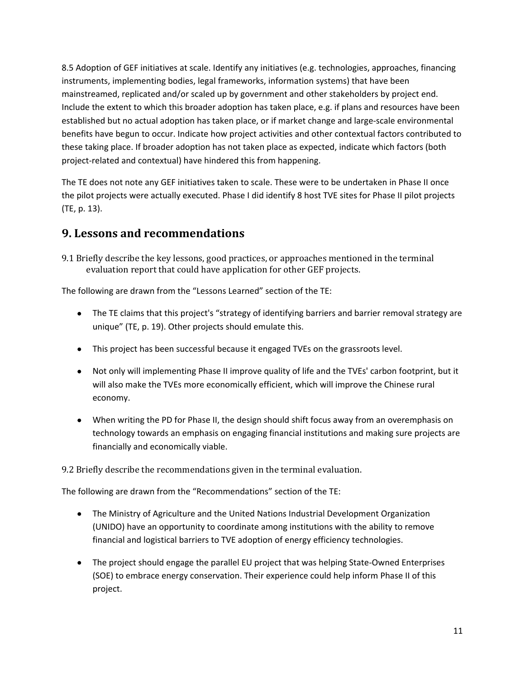8.5 Adoption of GEF initiatives at scale. Identify any initiatives (e.g. technologies, approaches, financing instruments, implementing bodies, legal frameworks, information systems) that have been mainstreamed, replicated and/or scaled up by government and other stakeholders by project end. Include the extent to which this broader adoption has taken place, e.g. if plans and resources have been established but no actual adoption has taken place, or if market change and large-scale environmental benefits have begun to occur. Indicate how project activities and other contextual factors contributed to these taking place. If broader adoption has not taken place as expected, indicate which factors (both project-related and contextual) have hindered this from happening.

The TE does not note any GEF initiatives taken to scale. These were to be undertaken in Phase II once the pilot projects were actually executed. Phase I did identify 8 host TVE sites for Phase II pilot projects (TE, p. 13).

### **9. Lessons and recommendations**

9.1 Briefly describe the key lessons, good practices, or approaches mentioned in the terminal evaluation report that could have application for other GEF projects.

The following are drawn from the "Lessons Learned" section of the TE:

- The TE claims that this project's "strategy of identifying barriers and barrier removal strategy are unique" (TE, p. 19). Other projects should emulate this.
- This project has been successful because it engaged TVEs on the grassroots level.
- Not only will implementing Phase II improve quality of life and the TVEs' carbon footprint, but it will also make the TVEs more economically efficient, which will improve the Chinese rural economy.
- When writing the PD for Phase II, the design should shift focus away from an overemphasis on technology towards an emphasis on engaging financial institutions and making sure projects are financially and economically viable.

9.2 Briefly describe the recommendations given in the terminal evaluation.

The following are drawn from the "Recommendations" section of the TE:

- The Ministry of Agriculture and the United Nations Industrial Development Organization (UNIDO) have an opportunity to coordinate among institutions with the ability to remove financial and logistical barriers to TVE adoption of energy efficiency technologies.
- The project should engage the parallel EU project that was helping State-Owned Enterprises (SOE) to embrace energy conservation. Their experience could help inform Phase II of this project.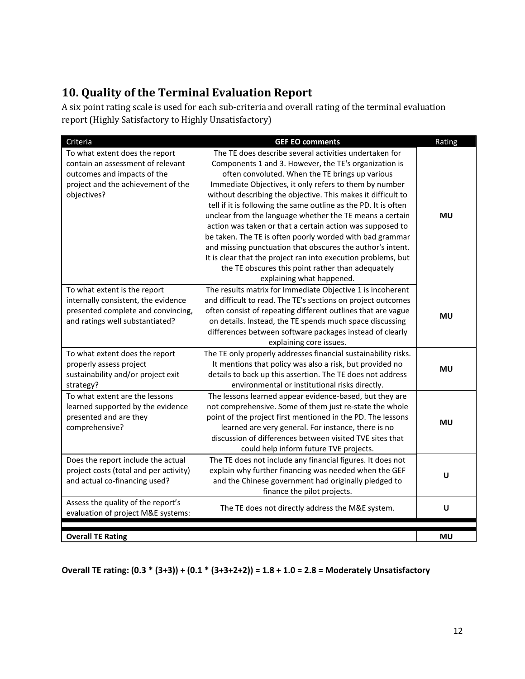## **10. Quality of the Terminal Evaluation Report**

A six point rating scale is used for each sub-criteria and overall rating of the terminal evaluation report (Highly Satisfactory to Highly Unsatisfactory)

| Criteria                               | <b>GEF EO comments</b>                                          | Rating    |
|----------------------------------------|-----------------------------------------------------------------|-----------|
| To what extent does the report         | The TE does describe several activities undertaken for          |           |
| contain an assessment of relevant      | Components 1 and 3. However, the TE's organization is           |           |
| outcomes and impacts of the            | often convoluted. When the TE brings up various                 |           |
| project and the achievement of the     | Immediate Objectives, it only refers to them by number          |           |
| objectives?                            | without describing the objective. This makes it difficult to    |           |
|                                        | tell if it is following the same outline as the PD. It is often |           |
|                                        | unclear from the language whether the TE means a certain        | <b>MU</b> |
|                                        | action was taken or that a certain action was supposed to       |           |
|                                        | be taken. The TE is often poorly worded with bad grammar        |           |
|                                        | and missing punctuation that obscures the author's intent.      |           |
|                                        | It is clear that the project ran into execution problems, but   |           |
|                                        | the TE obscures this point rather than adequately               |           |
|                                        | explaining what happened.                                       |           |
| To what extent is the report           | The results matrix for Immediate Objective 1 is incoherent      |           |
| internally consistent, the evidence    | and difficult to read. The TE's sections on project outcomes    |           |
| presented complete and convincing,     | often consist of repeating different outlines that are vague    | <b>MU</b> |
| and ratings well substantiated?        | on details. Instead, the TE spends much space discussing        |           |
|                                        | differences between software packages instead of clearly        |           |
|                                        | explaining core issues.                                         |           |
| To what extent does the report         | The TE only properly addresses financial sustainability risks.  |           |
| properly assess project                | It mentions that policy was also a risk, but provided no        | <b>MU</b> |
| sustainability and/or project exit     | details to back up this assertion. The TE does not address      |           |
| strategy?                              | environmental or institutional risks directly.                  |           |
| To what extent are the lessons         | The lessons learned appear evidence-based, but they are         |           |
| learned supported by the evidence      | not comprehensive. Some of them just re-state the whole         |           |
| presented and are they                 | point of the project first mentioned in the PD. The lessons     | MU        |
| comprehensive?                         | learned are very general. For instance, there is no             |           |
|                                        | discussion of differences between visited TVE sites that        |           |
|                                        | could help inform future TVE projects.                          |           |
| Does the report include the actual     | The TE does not include any financial figures. It does not      |           |
| project costs (total and per activity) | explain why further financing was needed when the GEF           | U         |
| and actual co-financing used?          | and the Chinese government had originally pledged to            |           |
|                                        | finance the pilot projects.                                     |           |
| Assess the quality of the report's     | The TE does not directly address the M&E system.                | U         |
| evaluation of project M&E systems:     |                                                                 |           |
|                                        |                                                                 |           |
| <b>Overall TE Rating</b>               |                                                                 | <b>MU</b> |

**Overall TE rating: (0.3 \* (3+3)) + (0.1 \* (3+3+2+2)) = 1.8 + 1.0 = 2.8 = Moderately Unsatisfactory**